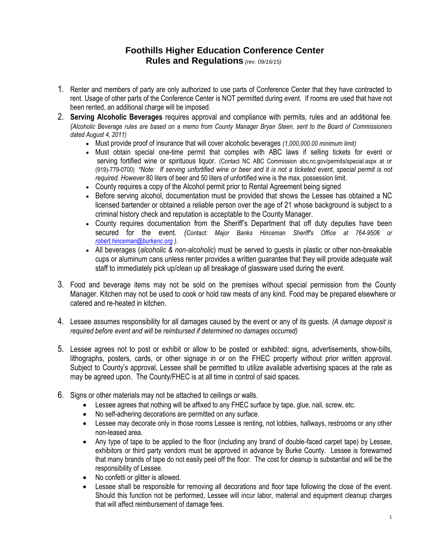## **Foothills Higher Education Conference Center Rules and Regulations** *(rev. 09/16/15)*

- 1. Renter and members of party are only authorized to use parts of Conference Center that they have contracted to rent. Usage of other parts of the Conference Center is NOT permitted during event. If rooms are used that have not been rented, an additional charge will be imposed.
- 2. **Serving Alcoholic Beverages** requires approval and compliance with permits, rules and an additional fee. *(Alcoholic Beverage rules are based on a memo from County Manager Bryan Steen, sent to the Board of Commissioners dated August 4, 2011)*
	- Must provide proof of insurance that will cover alcoholic beverages *(1,000,000.00 minimum limit)*
	- Must obtain special one-time permit that complies with ABC laws if selling tickets for event or serving fortified wine or spirituous liquor. (Contact NC ABC Commission abc.nc.gov/permits/special.aspx at or (919)-779-0700) *\*Note: If serving unfortified wine or beer and it is not a ticketed event, special permit is not required. However* 80 liters of beer and 50 liters of unfortified wine is the max. possession limit.
	- County requires a copy of the Alcohol permit prior to Rental Agreement being signed
	- Before serving alcohol, documentation must be provided that shows the Lessee has obtained a NC licensed bartender or obtained a reliable person over the age of 21 whose background is subject to a criminal history check and reputation is acceptable to the County Manager.
	- County requires documentation from the Sheriff's Department that off duty deputies have been secured for the event. *(Contact: Major Banks Hinceman Sheriff's Office at 764-9506 or [robert.hinceman@burkenc.org](mailto:robert.hinceman@burkenc.org) ).*
	- All beverages (*alcoholic & non-alcoholic*) must be served to guests in plastic or other non-breakable cups or aluminum cans unless renter provides a written guarantee that they will provide adequate wait staff to immediately pick up/clean up all breakage of glassware used during the event.
- 3. Food and beverage items may not be sold on the premises without special permission from the County Manager. Kitchen may not be used to cook or hold raw meats of any kind. Food may be prepared elsewhere or catered and re-heated in kitchen.
- 4. Lessee assumes responsibility for all damages caused by the event or any of its guests. *(A damage deposit is required before event and will be reimbursed if determined no damages occurred)*
- 5. Lessee agrees not to post or exhibit or allow to be posted or exhibited: signs, advertisements, show-bills, lithographs, posters, cards, or other signage in or on the FHEC property without prior written approval. Subject to County's approval, Lessee shall be permitted to utilize available advertising spaces at the rate as may be agreed upon. The County/FHEC is at all time in control of said spaces.
- 6. Signs or other materials may not be attached to ceilings or walls.
	- Lessee agrees that nothing will be affixed to any FHEC surface by tape, glue, nail, screw, etc.
	- No self-adhering decorations are permitted on any surface.
	- Lessee may decorate only in those rooms Lessee is renting, not lobbies, hallways, restrooms or any other non-leased area.
	- Any type of tape to be applied to the floor (including any brand of double-faced carpet tape) by Lessee, exhibitors or third party vendors must be approved in advance by Burke County. Lessee is forewarned that many brands of tape do not easily peel off the floor. The cost for cleanup is substantial and will be the responsibility of Lessee.
	- No confetti or glitter is allowed.
	- Lessee shall be responsible for removing all decorations and floor tape following the close of the event. Should this function not be performed, Lessee will incur labor, material and equipment cleanup charges that will affect reimbursement of damage fees.